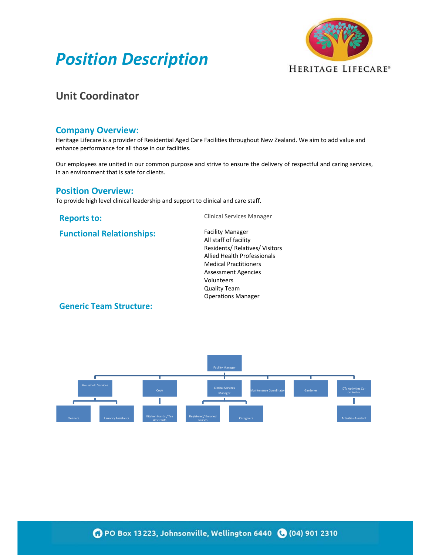



# **Unit Coordinator**

#### **Company Overview:**

Heritage Lifecare is a provider of Residential Aged Care Facilities throughout New Zealand. We aim to add value and enhance performance for all those in our facilities.

Our employees are united in our common purpose and strive to ensure the delivery of respectful and caring services, in an environment that is safe for clients.

### **Position Overview:**

To provide high level clinical leadership and support to clinical and care staff.

**Functional Relationships:** Facility Manager

**Reports to:** Clinical Services Manager

All staff of facility Residents/ Relatives/ Visitors Allied Health Professionals Medical Practitioners Assessment Agencies Volunteers Quality Team Operations Manager

### **Generic Team Structure:**

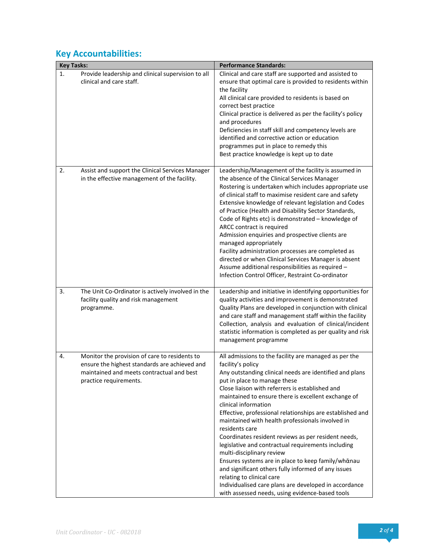# **Key Accountabilities:**

| <b>Key Tasks:</b> |                                                                                                                                                                       | <b>Performance Standards:</b>                                                                                                                                                                                                                                                                                                                                                                                                                                                                                                                                                                                                                                                                                                                                                                                                              |
|-------------------|-----------------------------------------------------------------------------------------------------------------------------------------------------------------------|--------------------------------------------------------------------------------------------------------------------------------------------------------------------------------------------------------------------------------------------------------------------------------------------------------------------------------------------------------------------------------------------------------------------------------------------------------------------------------------------------------------------------------------------------------------------------------------------------------------------------------------------------------------------------------------------------------------------------------------------------------------------------------------------------------------------------------------------|
| 1.                | Provide leadership and clinical supervision to all<br>clinical and care staff.                                                                                        | Clinical and care staff are supported and assisted to<br>ensure that optimal care is provided to residents within<br>the facility<br>All clinical care provided to residents is based on<br>correct best practice<br>Clinical practice is delivered as per the facility's policy<br>and procedures<br>Deficiencies in staff skill and competency levels are<br>identified and corrective action or education<br>programmes put in place to remedy this<br>Best practice knowledge is kept up to date                                                                                                                                                                                                                                                                                                                                       |
| 2.                | Assist and support the Clinical Services Manager<br>in the effective management of the facility.                                                                      | Leadership/Management of the facility is assumed in<br>the absence of the Clinical Services Manager<br>Rostering is undertaken which includes appropriate use<br>of clinical staff to maximise resident care and safety<br>Extensive knowledge of relevant legislation and Codes<br>of Practice (Health and Disability Sector Standards,<br>Code of Rights etc) is demonstrated - knowledge of<br>ARCC contract is required<br>Admission enquiries and prospective clients are<br>managed appropriately<br>Facility administration processes are completed as<br>directed or when Clinical Services Manager is absent<br>Assume additional responsibilities as required -<br>Infection Control Officer, Restraint Co-ordinator                                                                                                             |
| 3.                | The Unit Co-Ordinator is actively involved in the<br>facility quality and risk management<br>programme.                                                               | Leadership and initiative in identifying opportunities for<br>quality activities and improvement is demonstrated<br>Quality Plans are developed in conjunction with clinical<br>and care staff and management staff within the facility<br>Collection, analysis and evaluation of clinical/incident<br>statistic information is completed as per quality and risk<br>management programme                                                                                                                                                                                                                                                                                                                                                                                                                                                  |
| 4.                | Monitor the provision of care to residents to<br>ensure the highest standards are achieved and<br>maintained and meets contractual and best<br>practice requirements. | All admissions to the facility are managed as per the<br>facility's policy<br>Any outstanding clinical needs are identified and plans<br>put in place to manage these<br>Close liaison with referrers is established and<br>maintained to ensure there is excellent exchange of<br>clinical information<br>Effective, professional relationships are established and<br>maintained with health professionals involved in<br>residents care<br>Coordinates resident reviews as per resident needs,<br>legislative and contractual requirements including<br>multi-disciplinary review<br>Ensures systems are in place to keep family/whanau<br>and significant others fully informed of any issues<br>relating to clinical care<br>Individualised care plans are developed in accordance<br>with assessed needs, using evidence-based tools |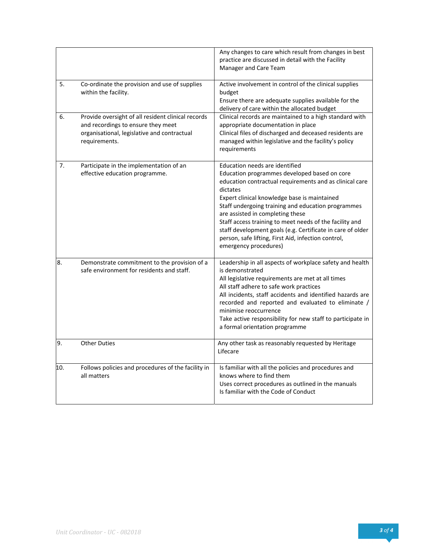|     |                                                                                                                                                          | Any changes to care which result from changes in best<br>practice are discussed in detail with the Facility<br>Manager and Care Team                                                                                                                                                                                                                                                                                                                                                                     |
|-----|----------------------------------------------------------------------------------------------------------------------------------------------------------|----------------------------------------------------------------------------------------------------------------------------------------------------------------------------------------------------------------------------------------------------------------------------------------------------------------------------------------------------------------------------------------------------------------------------------------------------------------------------------------------------------|
| 5.  | Co-ordinate the provision and use of supplies<br>within the facility.                                                                                    | Active involvement in control of the clinical supplies<br>budget<br>Ensure there are adequate supplies available for the<br>delivery of care within the allocated budget                                                                                                                                                                                                                                                                                                                                 |
| 6.  | Provide oversight of all resident clinical records<br>and recordings to ensure they meet<br>organisational, legislative and contractual<br>requirements. | Clinical records are maintained to a high standard with<br>appropriate documentation in place<br>Clinical files of discharged and deceased residents are<br>managed within legislative and the facility's policy<br>requirements                                                                                                                                                                                                                                                                         |
| 7.  | Participate in the implementation of an<br>effective education programme.                                                                                | Education needs are identified<br>Education programmes developed based on core<br>education contractual requirements and as clinical care<br>dictates<br>Expert clinical knowledge base is maintained<br>Staff undergoing training and education programmes<br>are assisted in completing these<br>Staff access training to meet needs of the facility and<br>staff development goals (e.g. Certificate in care of older<br>person, safe lifting, First Aid, infection control,<br>emergency procedures) |
| 8.  | Demonstrate commitment to the provision of a<br>safe environment for residents and staff.                                                                | Leadership in all aspects of workplace safety and health<br>is demonstrated<br>All legislative requirements are met at all times<br>All staff adhere to safe work practices<br>All incidents, staff accidents and identified hazards are<br>recorded and reported and evaluated to eliminate /<br>minimise reoccurrence<br>Take active responsibility for new staff to participate in<br>a formal orientation programme                                                                                  |
| 9.  | <b>Other Duties</b>                                                                                                                                      | Any other task as reasonably requested by Heritage<br>Lifecare                                                                                                                                                                                                                                                                                                                                                                                                                                           |
| 10. | Follows policies and procedures of the facility in<br>all matters                                                                                        | Is familiar with all the policies and procedures and<br>knows where to find them<br>Uses correct procedures as outlined in the manuals<br>Is familiar with the Code of Conduct                                                                                                                                                                                                                                                                                                                           |